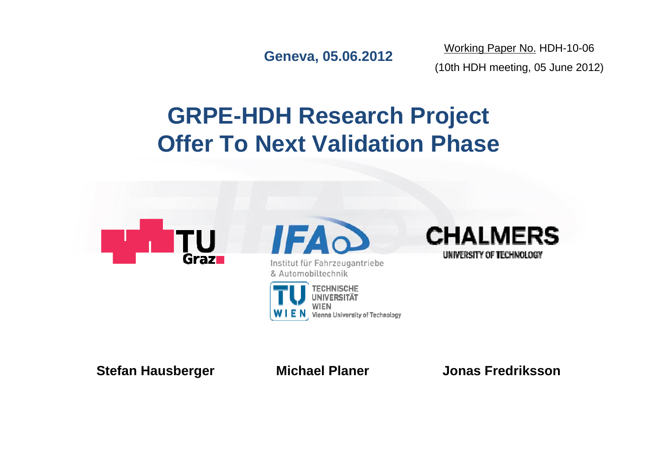**Geneva, 05.06.2012**

Working Paper No. HDH-10-06 (10th HDH meeting, 05 June 2012)

# **GRPE-HDH Research Project Offer To Next Validation Phase**



**Stefan Hausberger Michael Planer Jonas Fredriksson**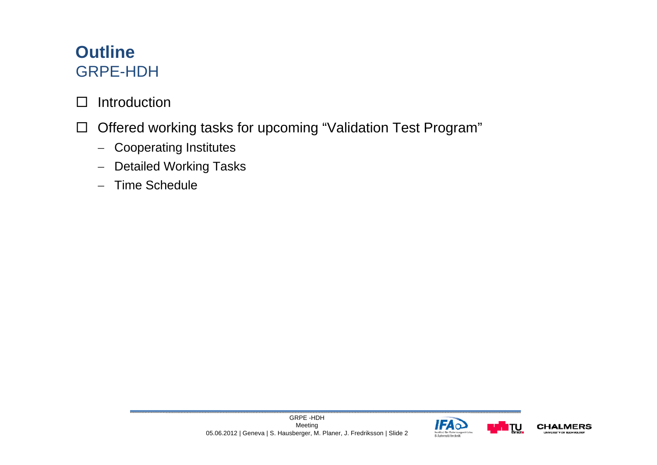#### **Outline** GRPE-HDH

- $\Box$ Introduction
- $\Box$  Offered working tasks for upcoming "Validation Test Program"
	- Cooperating Institutes
	- Detailed Working Tasks
	- Time Schedule



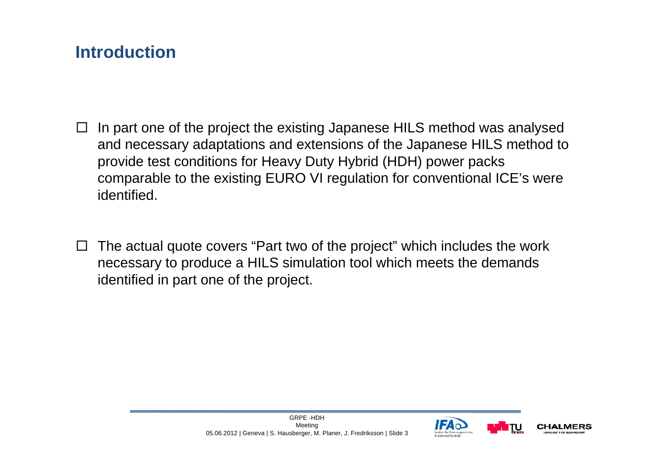### **Introduction**

- $\overline{\phantom{a}}$  In part one of the project the existing Japanese HILS method was analysed and necessary adaptations and extensions of the Japanese HILS method to provide test conditions for Heavy Duty Hybrid (HDH) power packs comparable to the existing EURO VI regulation for conventional ICE's were identified.
- $\Box$  The actual quote covers "Part two of the project" which includes the work necessary to produce a HILS simulation tool which meets the demands identified in part one of the project.



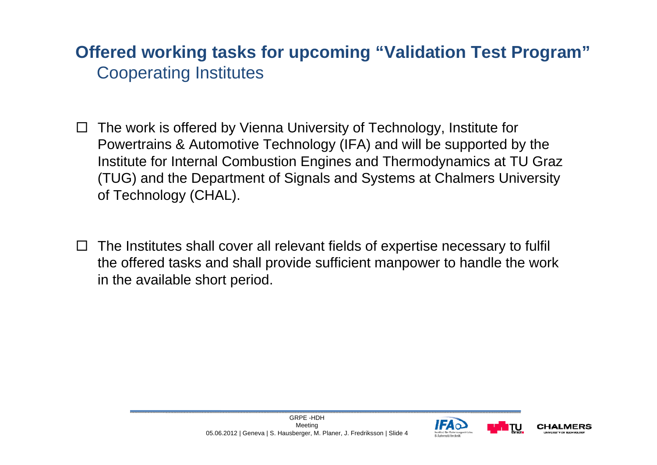#### **Offered working tasks for upcoming "Validation Test Program"** Cooperating Institutes

- $\overline{\phantom{a}}$  The work is offered by Vienna University of Technology, Institute for Powertrains & Automotive Technology (IFA) and will be supported by the Institute for Internal Combustion Engines and Thermodynamics at TU Graz (TUG) and the Department of Signals and Systems at Chalmers University of Technology (CHAL).
- $\Box$  The Institutes shall cover all relevant fields of expertise necessary to fulfil the offered tasks and shall provide sufficient manpower to handle the work in the available short period.



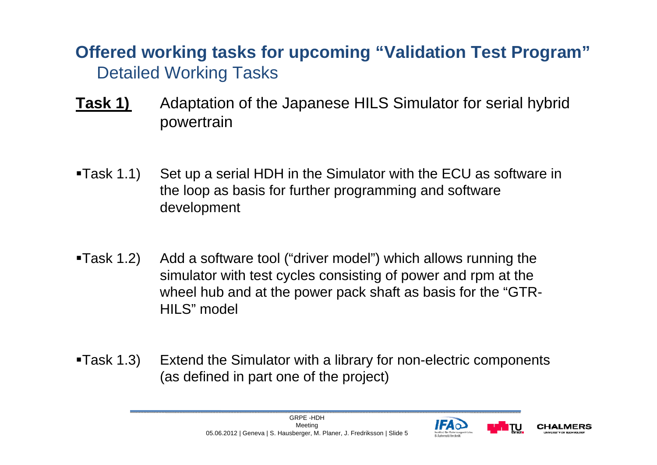- **Task 1)** Adaptation of the Japanese HILS Simulator for serial hybrid powertrain
- Task 1.1) Set up a serial HDH in the Simulator with the ECU as software in the loop as basis for further programming and software development
- Task 1.2) Add a software tool ("driver model") which allows running the simulator with test cycles consisting of power and rpm at the wheel hub and at the power pack shaft as basis for the "GTR-HILS" model
- Task 1.3) Extend the Simulator with a library for non-electric components (as defined in part one of the project)



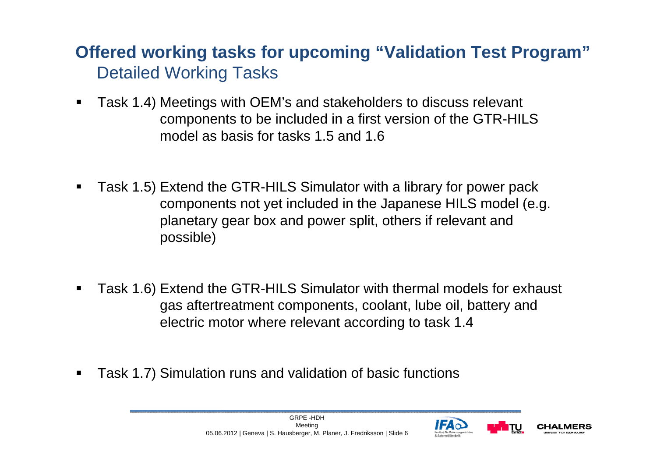- Task 1.4) Meetings with OEM's and stakeholders to discuss relevant components to be included in a first version of the GTR-HILS model as basis for tasks 1.5 and 1.6
- Task 1.5) Extend the GTR-HILS Simulator with a library for power pack components not yet included in the Japanese HILS model (e.g. planetary gear box and power split, others if relevant and possible)
- Task 1.6) Extend the GTR-HILS Simulator with thermal models for exhaust gas aftertreatment components, coolant, lube oil, battery and electric motor where relevant according to task 1.4
- $\blacksquare$ Task 1.7) Simulation runs and validation of basic functions



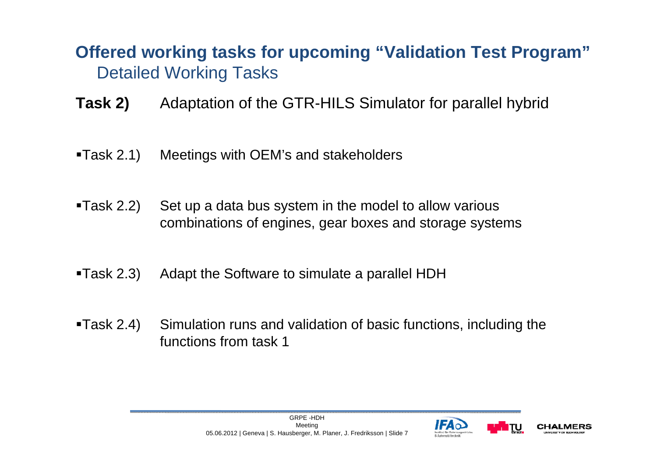- **Task 2)** Adaptation of the GTR-HILS Simulator for parallel hybrid
- Task 2.1) Meetings with OEM's and stakeholders
- Task 2.2) Set up a data bus system in the model to allow various combinations of engines, gear boxes and storage systems
- Task 2.3) Adapt the Software to simulate a parallel HDH
- Task 2.4) Simulation runs and validation of basic functions, including the functions from task 1



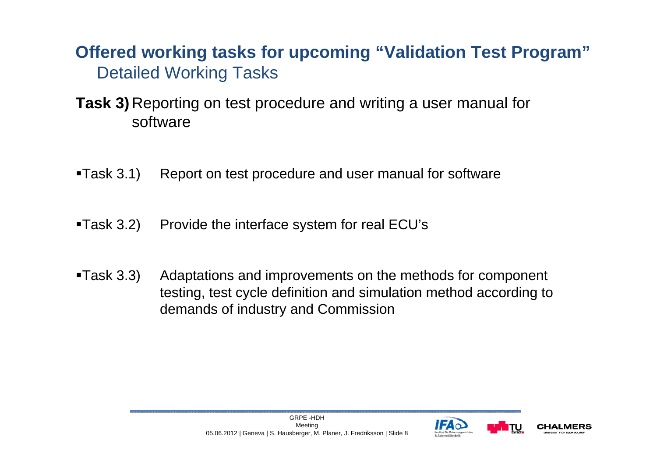#### **Task 3)** Reporting on test procedure and writing a user manual for software

- **Task 3.1)** Report on test procedure and user manual for software
- ■Task 3.2) Provide the interface system for real ECU's
- **Task 3.3)** Adaptations and improvements on the methods for component testing, test cycle definition and simulation method according to demands of industry and Commission



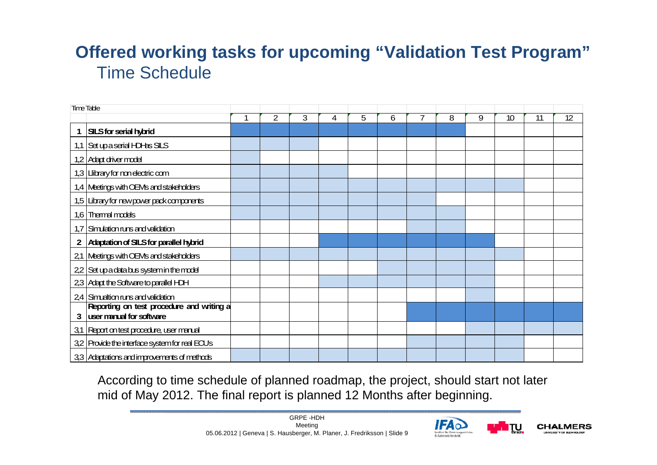### **Offered working tasks for upcoming "Validation Test Program"** Time Schedule

| <b>Time Table</b> |                                                |   |                |   |   |   |   |   |   |   |    |    |    |
|-------------------|------------------------------------------------|---|----------------|---|---|---|---|---|---|---|----|----|----|
|                   |                                                | 1 | $\overline{2}$ | 3 | 4 | 5 | 6 | 7 | 8 | 9 | 10 | 11 | 12 |
| $\mathbf 1$       | <b>SILS for serial hybrid</b>                  |   |                |   |   |   |   |   |   |   |    |    |    |
|                   | 1,1 Set up a serial HDHas SILS                 |   |                |   |   |   |   |   |   |   |    |    |    |
|                   | 1,2 Adapt driver model                         |   |                |   |   |   |   |   |   |   |    |    |    |
|                   | 1,3 Library for non electric com               |   |                |   |   |   |   |   |   |   |    |    |    |
|                   | 1,4 Meetings with OEMs and stakeholders        |   |                |   |   |   |   |   |   |   |    |    |    |
|                   | 1,5 Library for new power pack components      |   |                |   |   |   |   |   |   |   |    |    |    |
|                   | 1,6 Thermal models                             |   |                |   |   |   |   |   |   |   |    |    |    |
|                   | 1,7 Simulation runs and validation             |   |                |   |   |   |   |   |   |   |    |    |    |
| 2                 | <b>Adaptation of SILS for parallel hybrid</b>  |   |                |   |   |   |   |   |   |   |    |    |    |
|                   | 2,1 Meetings with OEMs and stakeholders        |   |                |   |   |   |   |   |   |   |    |    |    |
|                   | 22 Set up a data bus system in the model       |   |                |   |   |   |   |   |   |   |    |    |    |
|                   | 2,3 Adapt the Software to parallel HDH         |   |                |   |   |   |   |   |   |   |    |    |    |
|                   | 24 Simualtion runs and validation              |   |                |   |   |   |   |   |   |   |    |    |    |
|                   | Reporting on test procedure and writing a      |   |                |   |   |   |   |   |   |   |    |    |    |
| 3                 | user manual for software                       |   |                |   |   |   |   |   |   |   |    |    |    |
|                   | 3,1 Report on test procedure, user manual      |   |                |   |   |   |   |   |   |   |    |    |    |
|                   | 3,2 Provide the interface system for real ECUs |   |                |   |   |   |   |   |   |   |    |    |    |
|                   | 3,3 Adaptations and improvements of methods    |   |                |   |   |   |   |   |   |   |    |    |    |

According to time schedule of planned roadmap, the project, should start not later mid of May 2012. The final report is planned 12 Months after beginning.